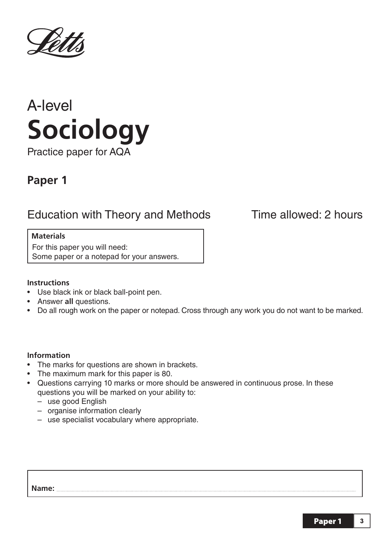



# **Paper 1**

# Education with Theory and Methods Time allowed: 2 hours

# **Materials**

For this paper you will need: Some paper or a notepad for your answers.

## **Instructions**

- Use black ink or black ball-point pen.
- Answer **all** questions.
- Do all rough work on the paper or notepad. Cross through any work you do not want to be marked.

## **Information**

- The marks for questions are shown in brackets.
- The maximum mark for this paper is 80.
- Questions carrying 10 marks or more should be answered in continuous prose. In these questions you will be marked on your ability to:
	- use good English
	- organise information clearly
	- use specialist vocabulary where appropriate.

**Name:**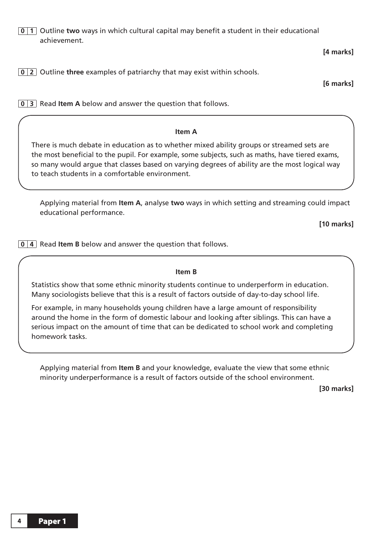**0 1** Outline **two** ways in which cultural capital may benefit a student in their educational achievement.

**[4 marks]**

**0 2** Outline **three** examples of patriarchy that may exist within schools.

**[6 marks]** 

**0 3** Read **Item A** below and answer the question that follows.

#### **Item A**

There is much debate in education as to whether mixed ability groups or streamed sets are the most beneficial to the pupil. For example, some subjects, such as maths, have tiered exams, so many would argue that classes based on varying degrees of ability are the most logical way to teach students in a comfortable environment.

 Applying material from **Item A**, analyse **two** ways in which setting and streaming could impact educational performance.

**[10 marks]** 

**0 4** Read **Item B** below and answer the question that follows.

#### **Item B**

Statistics show that some ethnic minority students continue to underperform in education. Many sociologists believe that this is a result of factors outside of day-to-day school life.

For example, in many households young children have a large amount of responsibility around the home in the form of domestic labour and looking after siblings. This can have a serious impact on the amount of time that can be dedicated to school work and completing homework tasks.

 Applying material from **Item B** and your knowledge, evaluate the view that some ethnic minority underperformance is a result of factors outside of the school environment.

**[30 marks]**